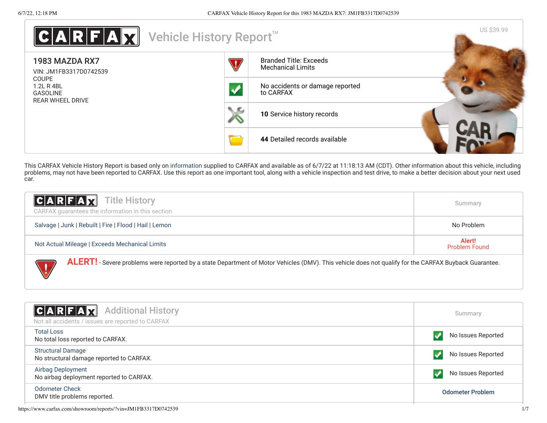| A R F A X <br>Vehicle History Report <sup>™</sup>                 |                                                           | US \$39.99 |
|-------------------------------------------------------------------|-----------------------------------------------------------|------------|
| 1983 MAZDA RX7<br>VIN: JM1FB3317D0742539                          | <b>Branded Title: Exceeds</b><br><b>Mechanical Limits</b> |            |
| <b>COUPE</b><br>1.2L R 4BL<br><b>GASOLINE</b><br>REAR WHEEL DRIVE | No accidents or damage reported<br>to CARFAX              |            |
|                                                                   | 10 Service history records                                |            |
|                                                                   | 44 Detailed records available                             |            |

This CARFAX Vehicle History Report is based only on [information](http://www.carfax.com/company/vhr-data-sources) supplied to CARFAX and available as of 6/7/22 at 11:18:13 AM (CDT). Other information about this vehicle, including problems, may not have been reported to CARFAX. Use this report as one important tool, along with a vehicle inspection and test drive, to make a better decision about your next used car.

| <b>CARFAX</b> Title History                                                                                                                                  | Summary                        |
|--------------------------------------------------------------------------------------------------------------------------------------------------------------|--------------------------------|
| CARFAX guarantees the information in this section                                                                                                            |                                |
| Salvage   Junk   Rebuilt   Fire   Flood   Hail   Lemon                                                                                                       | No Problem                     |
| Not Actual Mileage   Exceeds Mechanical Limits                                                                                                               | Alert!<br><b>Problem Found</b> |
| <b>ALERT!</b> - Severe problems were reported by a state Department of Motor Vehicles (DMV). This vehicle does not qualify for the CARFAX Buyback Guarantee. |                                |

<span id="page-0-0"></span>

| $ C A R F A \chi $<br><b>Additional History</b><br>Not all accidents / issues are reported to CARFAX | Summary                 |
|------------------------------------------------------------------------------------------------------|-------------------------|
| <b>Total Loss</b><br>No total loss reported to CARFAX.                                               | No Issues Reported      |
| <b>Structural Damage</b><br>No structural damage reported to CARFAX.                                 | No Issues Reported      |
| Airbag Deployment<br>No airbag deployment reported to CARFAX.                                        | No Issues Reported      |
| <b>Odometer Check</b><br>DMV title problems reported.                                                | <b>Odometer Problem</b> |
|                                                                                                      |                         |

https://www.carfax.com/showroom/reports/?vin=JM1FB3317D0742539 1/7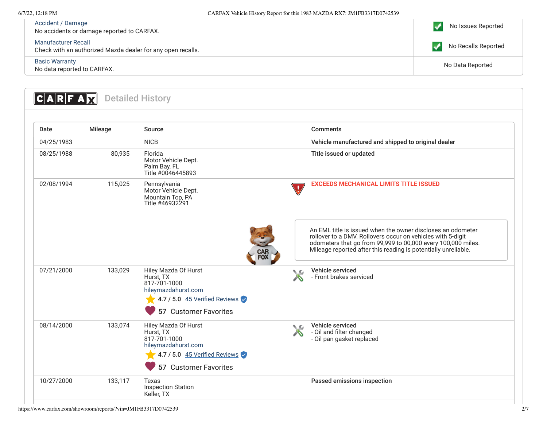| Accident / Damage<br>No accidents or damage reported to CARFAX.                    | No Issues Reported  |
|------------------------------------------------------------------------------------|---------------------|
| Manufacturer Recall<br>Check with an authorized Mazda dealer for any open recalls. | No Recalls Reported |
| <b>Basic Warranty</b><br>No data reported to CARFAX.                               | No Data Reported    |

<span id="page-1-1"></span><span id="page-1-0"></span>

| Date       | Mileage | Source                                                                                                                             |            | <b>Comments</b>                                                                                                                                                                                                                                              |
|------------|---------|------------------------------------------------------------------------------------------------------------------------------------|------------|--------------------------------------------------------------------------------------------------------------------------------------------------------------------------------------------------------------------------------------------------------------|
| 04/25/1983 |         | <b>NICB</b>                                                                                                                        |            | Vehicle manufactured and shipped to original dealer                                                                                                                                                                                                          |
| 08/25/1988 | 80,935  | Florida<br>Motor Vehicle Dept.<br>Palm Bay, FL<br>Title #0046445893                                                                |            | Title issued or updated                                                                                                                                                                                                                                      |
| 02/08/1994 | 115,025 | Pennsylvania<br>Motor Vehicle Dept.<br>Mountain Top, PA<br>Title #46932291                                                         | $\sqrt{1}$ | <b>EXCEEDS MECHANICAL LIMITS TITLE ISSUED</b>                                                                                                                                                                                                                |
|            |         | CAR<br>FOX                                                                                                                         |            | An EML title is issued when the owner discloses an odometer<br>rollover to a DMV. Rollovers occur on vehicles with 5-digit<br>odometers that go from 99,999 to 00,000 every 100,000 miles.<br>Mileage reported after this reading is potentially unreliable. |
| 07/21/2000 | 133,029 | Hiley Mazda Of Hurst<br>Hurst, TX<br>817-701-1000<br>hileymazdahurst.com<br>4.7 / 5.0 45 Verified Reviews<br>57 Customer Favorites | . C        | Vehicle serviced<br>- Front brakes serviced                                                                                                                                                                                                                  |
| 08/14/2000 | 133,074 | Hiley Mazda Of Hurst<br>Hurst, TX<br>817-701-1000<br>hileymazdahurst.com<br>4.7 / 5.0 45 Verified Reviews<br>57 Customer Favorites | ↖£         | Vehicle serviced<br>- Oil and filter changed<br>- Oil pan gasket replaced                                                                                                                                                                                    |
| 10/27/2000 | 133,117 | Texas<br><b>Inspection Station</b><br>Keller, TX                                                                                   |            | Passed emissions inspection                                                                                                                                                                                                                                  |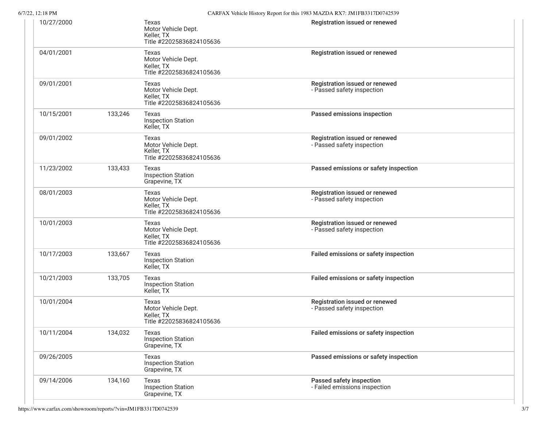| $6/7/22$ , 12:18 PM |  |
|---------------------|--|
|                     |  |

|         |                                                                        | CARFAX venicle History Report for this 1985 MAZDA RX7. JMTFB5517D0742559 |
|---------|------------------------------------------------------------------------|--------------------------------------------------------------------------|
|         | Texas<br>Motor Vehicle Dept.<br>Keller, TX<br>Title #22025836824105636 | Registration issued or renewed                                           |
|         | Texas<br>Motor Vehicle Dept.<br>Keller, TX<br>Title #22025836824105636 | Registration issued or renewed                                           |
|         | Texas<br>Motor Vehicle Dept.<br>Keller, TX<br>Title #22025836824105636 | Registration issued or renewed<br>- Passed safety inspection             |
| 133,246 | Texas<br><b>Inspection Station</b><br>Keller, TX                       | Passed emissions inspection                                              |
|         | Texas<br>Motor Vehicle Dept.<br>Keller, TX<br>Title #22025836824105636 | Registration issued or renewed<br>- Passed safety inspection             |
| 133,433 | Texas<br><b>Inspection Station</b><br>Grapevine, TX                    | Passed emissions or safety inspection                                    |
|         | Texas<br>Motor Vehicle Dept.<br>Keller, TX<br>Title #22025836824105636 | Registration issued or renewed<br>- Passed safety inspection             |
|         | Texas<br>Motor Vehicle Dept.<br>Keller, TX<br>Title #22025836824105636 | Registration issued or renewed<br>- Passed safety inspection             |
| 133,667 | Texas<br><b>Inspection Station</b><br>Keller, TX                       | Failed emissions or safety inspection                                    |
| 133,705 | Texas<br><b>Inspection Station</b><br>Keller, TX                       | Failed emissions or safety inspection                                    |
|         | Texas<br>Motor Vehicle Dept.<br>Keller, TX<br>Title #22025836824105636 | Registration issued or renewed<br>- Passed safety inspection             |
| 134,032 | Texas<br><b>Inspection Station</b><br>Grapevine, TX                    | Failed emissions or safety inspection                                    |
|         | Texas<br><b>Inspection Station</b><br>Grapevine, TX                    | Passed emissions or safety inspection                                    |
| 134,160 | Texas<br><b>Inspection Station</b><br>Grapevine, TX                    | Passed safety inspection<br>- Failed emissions inspection                |
|         |                                                                        |                                                                          |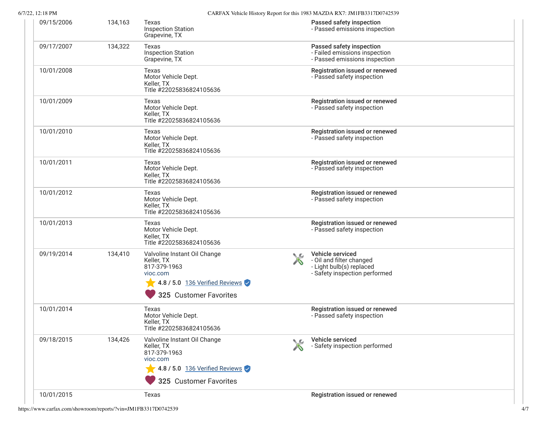| 09/15/2006 | 134,163 | Texas<br><b>Inspection Station</b><br>Grapevine, TX                                                                                       |    | Passed safety inspection<br>- Passed emissions inspection                                                 |  |
|------------|---------|-------------------------------------------------------------------------------------------------------------------------------------------|----|-----------------------------------------------------------------------------------------------------------|--|
| 09/17/2007 | 134,322 | Texas<br><b>Inspection Station</b><br>Grapevine, TX                                                                                       |    | Passed safety inspection<br>- Failed emissions inspection<br>- Passed emissions inspection                |  |
| 10/01/2008 |         | Texas<br>Motor Vehicle Dept.<br>Keller, TX<br>Title #22025836824105636                                                                    |    | Registration issued or renewed<br>- Passed safety inspection                                              |  |
| 10/01/2009 |         | Texas<br>Motor Vehicle Dept.<br>Keller, TX<br>Title #22025836824105636                                                                    |    | Registration issued or renewed<br>- Passed safety inspection                                              |  |
| 10/01/2010 |         | Texas<br>Motor Vehicle Dept.<br>Keller, TX<br>Title #22025836824105636                                                                    |    | Registration issued or renewed<br>- Passed safety inspection                                              |  |
| 10/01/2011 |         | Texas<br>Motor Vehicle Dept.<br>Keller, TX<br>Title #22025836824105636                                                                    |    | Registration issued or renewed<br>- Passed safety inspection                                              |  |
| 10/01/2012 |         | Texas<br>Motor Vehicle Dept.<br>Keller, TX<br>Title #22025836824105636                                                                    |    | Registration issued or renewed<br>- Passed safety inspection                                              |  |
| 10/01/2013 |         | Texas<br>Motor Vehicle Dept.<br>Keller, TX<br>Title #22025836824105636                                                                    |    | Registration issued or renewed<br>- Passed safety inspection                                              |  |
| 09/19/2014 | 134,410 | Valvoline Instant Oil Change<br>Keller, TX<br>817-379-1963<br>vioc.com<br>$\sqrt{4.8/5.0}$ 136 Verified Reviews<br>325 Customer Favorites | ◟◚ | Vehicle serviced<br>- Oil and filter changed<br>- Light bulb(s) replaced<br>- Safety inspection performed |  |
| 10/01/2014 |         | Texas<br>Motor Vehicle Dept.<br>Keller, TX<br>Title #22025836824105636                                                                    |    | Registration issued or renewed<br>- Passed safety inspection                                              |  |
| 09/18/2015 | 134,426 | Valvoline Instant Oil Change<br>Keller, TX<br>817-379-1963<br>vioc.com<br>4.8 / 5.0 136 Verified Reviews<br>325 Customer Favorites        |    | Vehicle serviced<br>- Safety inspection performed                                                         |  |
| 10/01/2015 |         | Texas                                                                                                                                     |    | Registration issued or renewed                                                                            |  |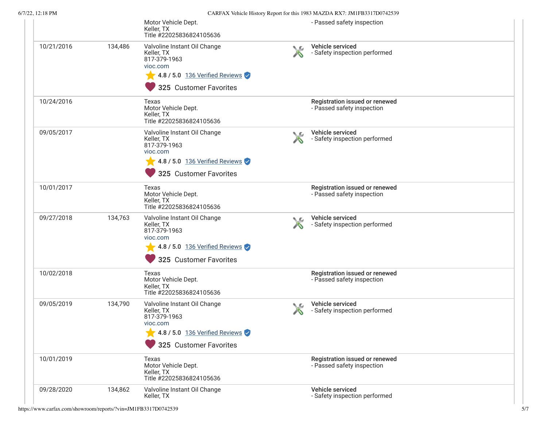| 722, 12.10 P.M |         |                                                                                                                                                          |    | CARPAA Venicle History Report for this 1985 MAZDA RAT. JINTPD3317D0742339 |  |
|----------------|---------|----------------------------------------------------------------------------------------------------------------------------------------------------------|----|---------------------------------------------------------------------------|--|
|                |         | Motor Vehicle Dept.<br>Keller, TX<br>Title #22025836824105636                                                                                            |    | - Passed safety inspection                                                |  |
| 10/21/2016     | 134,486 | Valvoline Instant Oil Change<br>Keller, TX<br>817-379-1963<br>vioc.com<br>$\sqrt{4.8/5.0}$ 136 Verified Reviews<br>325 Customer Favorites                | ◟உ | Vehicle serviced<br>- Safety inspection performed                         |  |
| 10/24/2016     |         | Texas<br>Motor Vehicle Dept.<br>Keller, TX<br>Title #22025836824105636                                                                                   |    | Registration issued or renewed<br>- Passed safety inspection              |  |
| 09/05/2017     |         | Valvoline Instant Oil Change<br>Keller, TX<br>817-379-1963<br>vioc.com<br>$\sqrt{4.8/5.0}$ 136 Verified Reviews<br>325 Customer Favorites                |    | Vehicle serviced<br>- Safety inspection performed                         |  |
| 10/01/2017     |         | Texas<br>Motor Vehicle Dept.<br>Keller, TX<br>Title #22025836824105636                                                                                   |    | Registration issued or renewed<br>- Passed safety inspection              |  |
| 09/27/2018     | 134,763 | Valvoline Instant Oil Change<br>Keller, TX<br>817-379-1963<br>vioc.com<br>4.8 / 5.0 136 Verified Reviews<br>325 Customer Favorites                       | ◟◚ | Vehicle serviced<br>- Safety inspection performed                         |  |
| 10/02/2018     |         | Texas<br>Motor Vehicle Dept.<br>Keller, TX<br>Title #22025836824105636                                                                                   |    | Registration issued or renewed<br>- Passed safety inspection              |  |
| 09/05/2019     | 134,790 | Valvoline Instant Oil Change<br>Keller, TX<br>817-379-1963<br>vioc.com<br>$\blacktriangleright$ 4.8 / 5.0 136 Verified Reviews<br>325 Customer Favorites | ◥£ | Vehicle serviced<br>- Safety inspection performed                         |  |
| 10/01/2019     |         | Texas<br>Motor Vehicle Dept.<br>Keller, TX<br>Title #22025836824105636                                                                                   |    | Registration issued or renewed<br>- Passed safety inspection              |  |
| 09/28/2020     | 134,862 | Valvoline Instant Oil Change<br>Keller, TX                                                                                                               |    | Vehicle serviced<br>- Safety inspection performed                         |  |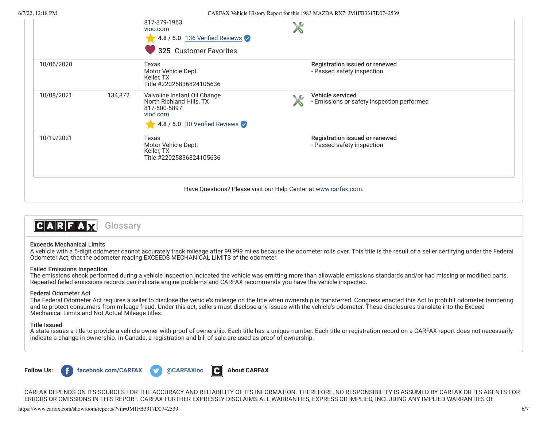|            |         | 817-379-1963<br>vioc.com<br>4.8 / 5.0 136 Verified Reviews<br>325 Customer Favorites                                  |      |                                                                |
|------------|---------|-----------------------------------------------------------------------------------------------------------------------|------|----------------------------------------------------------------|
| 10/06/2020 |         | Texas<br>Motor Vehicle Dept.<br>Keller, TX<br>Title #22025836824105636                                                |      | Registration issued or renewed<br>- Passed safety inspection   |
| 10/08/2021 | 134,872 | Valvoline Instant Oil Change<br>North Richland Hills, TX<br>817-500-5897<br>vioc.com<br>4.8 / 5.0 30 Verified Reviews | ∖.€a | Vehicle serviced<br>- Emissions or safety inspection performed |
| 10/19/2021 |         | Texas<br>Motor Vehicle Dept.<br>Keller, TX<br>Title #22025836824105636                                                |      | Registration issued or renewed<br>- Passed safety inspection   |
|            |         | Have Questions? Please visit our Help Center at www.carfax.com.                                                       |      |                                                                |

#### $|C|A|R|F|A|\nabla$ **Glossary**

### Exceeds Mechanical Limits

A vehicle with a 5-digit odometer cannot accurately track mileage after 99,999 miles because the odometer rolls over. This title is the result of a seller certifying under the Federal Odometer Act, that the odometer reading EXCEEDS MECHANICAL LIMITS of the odometer.

### Failed Emissions Inspection

The emissions check performed during a vehicle inspection indicated the vehicle was emitting more than allowable emissions standards and/or had missing or modied parts. Repeated failed emissions records can indicate engine problems and CARFAX recommends you have the vehicle inspected.

## Federal Odometer Act

The Federal Odometer Act requires a seller to disclose the vehicle's mileage on the title when ownership is transferred. Congress enacted this Act to prohibit odometer tampering and to protect consumers from mileage fraud. Under this act, sellers must disclose any issues with the vehicle's odometer. These disclosures translate into the Exceed Mechanical Limits and Not Actual Mileage titles.

### Title Issued

A state issues a title to provide a vehicle owner with proof of ownership. Each title has a unique number. Each title or registration record on a CARFAX report does not necessarily indicate a change in ownership. In Canada, a registration and bill of sale are used as proof of ownership.



CARFAX DEPENDS ON ITS SOURCES FOR THE ACCURACY AND RELIABILITY OF ITS INFORMATION. THEREFORE, NO RESPONSIBILITY IS ASSUMED BY CARFAX OR ITS AGENTS FOR ERRORS OR OMISSIONS IN THIS REPORT. CARFAX FURTHER EXPRESSLY DISCLAIMS ALL WARRANTIES, EXPRESS OR IMPLIED, INCLUDING ANY IMPLIED WARRANTIES OF